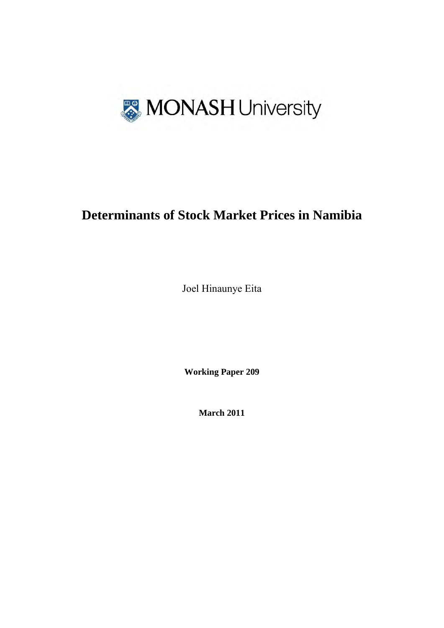

# **Determinants of Stock Market Prices in Namibia**

Joel Hinaunye Eita

**Working Paper 209** 

**March 2011**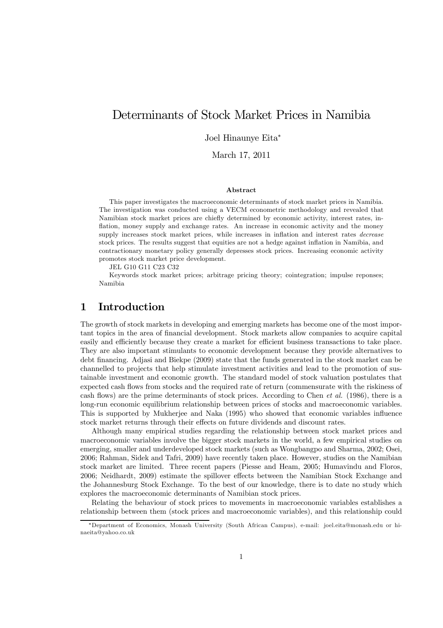## Determinants of Stock Market Prices in Namibia

Joel Hinaunye Eita<sup>∗</sup>

March 17, 2011

#### Abstract

This paper investigates the macroeconomic determinants of stock market prices in Namibia. The investigation was conducted using a VECM econometric methodology and revealed that Namibian stock market prices are chiefly determined by economic activity, interest rates, inflation, money supply and exchange rates. An increase in economic activity and the money supply increases stock market prices, while increases in inflation and interest rates *decrease* stock prices. The results suggest that equities are not a hedge against inflation in Namibia, and contractionary monetary policy generally depresses stock prices. Increasing economic activity promotes stock market price development.

JEL G10 G11 C23 C32

Keywords stock market prices; arbitrage pricing theory; cointegration; impulse reponses; Namibia

## 1 Introduction

The growth of stock markets in developing and emerging markets has become one of the most important topics in the area of financial development. Stock markets allow companies to acquire capital easily and efficiently because they create a market for efficient business transactions to take place. They are also important stimulants to economic development because they provide alternatives to debt financing. Adjasi and Biekpe (2009) state that the funds generated in the stock market can be channelled to projects that help stimulate investment activities and lead to the promotion of sustainable investment and economic growth. The standard model of stock valuation postulates that expected cash flows from stocks and the required rate of return (commensurate with the riskiness of cash flows) are the prime determinants of stock prices. According to Chen et al. (1986), there is a long-run economic equilibrium relationship between prices of stocks and macroeconomic variables. This is supported by Mukherjee and Naka (1995) who showed that economic variables influence stock market returns through their effects on future dividends and discount rates.

Although many empirical studies regarding the relationship between stock market prices and macroeconomic variables involve the bigger stock markets in the world, a few empirical studies on emerging, smaller and underdeveloped stock markets (such as Wongbangpo and Sharma, 2002; Osei, 2006; Rahman, Sidek and Tafri, 2009) have recently taken place. However, studies on the Namibian stock market are limited. Three recent papers (Piesse and Heam, 2005; Humavindu and Floros, 2006; Neidhardt, 2009) estimate the spillover effects between the Namibian Stock Exchange and the Johannesburg Stock Exchange. To the best of our knowledge, there is to date no study which explores the macroeconomic determinants of Namibian stock prices.

Relating the behaviour of stock prices to movements in macroeconomic variables establishes a relationship between them (stock prices and macroeconomic variables), and this relationship could

<sup>∗</sup>Department of Economics, Monash University (South African Campus), e-mail: joel.eita@monash.edu or hinaeita@yahoo.co.uk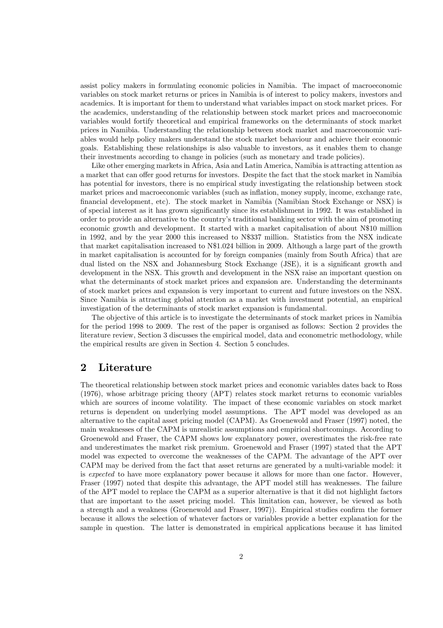assist policy makers in formulating economic policies in Namibia. The impact of macroeconomic variables on stock market returns or prices in Namibia is of interest to policy makers, investors and academics. It is important for them to understand what variables impact on stock market prices. For the academics, understanding of the relationship between stock market prices and macroeconomic variables would fortify theoretical and empirical frameworks on the determinants of stock market prices in Namibia. Understanding the relationship between stock market and macroeconomic variables would help policy makers understand the stock market behaviour and achieve their economic goals. Establishing these relationships is also valuable to investors, as it enables them to change their investments according to change in policies (such as monetary and trade policies).

Like other emerging markets in Africa, Asia and Latin America, Namibia is attracting attention as a market that can offer good returns for investors. Despite the fact that the stock market in Namibia has potential for investors, there is no empirical study investigating the relationship between stock market prices and macroeconomic variables (such as inflation, money supply, income, exchange rate, financial development, etc). The stock market in Namibia (Namibian Stock Exchange or NSX) is of special interest as it has grown significantly since its establishment in 1992. It was established in order to provide an alternative to the country's traditional banking sector with the aim of promoting economic growth and development. It started with a market capitalisation of about N\$10 million in 1992, and by the year 2000 this increased to N\$337 million. Statistics from the NSX indicate that market capitalisation increased to N\$1.024 billion in 2009. Although a large part of the growth in market capitalisation is accounted for by foreign companies (mainly from South Africa) that are dual listed on the NSX and Johannesburg Stock Exchange (JSE), it is a significant growth and development in the NSX. This growth and development in the NSX raise an important question on what the determinants of stock market prices and expansion are. Understanding the determinants of stock market prices and expansion is very important to current and future investors on the NSX. Since Namibia is attracting global attention as a market with investment potential, an empirical investigation of the determinants of stock market expansion is fundamental.

The objective of this article is to investigate the determinants of stock market prices in Namibia for the period 1998 to 2009. The rest of the paper is organised as follows: Section 2 provides the literature review, Section 3 discusses the empirical model, data and econometric methodology, while the empirical results are given in Section 4. Section 5 concludes.

## 2 Literature

The theoretical relationship between stock market prices and economic variables dates back to Ross (1976), whose arbitrage pricing theory (APT) relates stock market returns to economic variables which are sources of income volatility. The impact of these economic variables on stock market returns is dependent on underlying model assumptions. The APT model was developed as an alternative to the capital asset pricing model (CAPM). As Groenewold and Fraser (1997) noted, the main weaknesses of the CAPM is unrealistic assumptions and empirical shortcomings. According to Groenewold and Fraser, the CAPM shows low explanatory power, overestimates the risk-free rate and underestimates the market risk premium. Groenewold and Fraser (1997) stated that the APT model was expected to overcome the weaknesses of the CAPM. The advantage of the APT over CAPM may be derived from the fact that asset returns are generated by a multi-variable model: it is expected to have more explanatory power because it allows for more than one factor. However, Fraser (1997) noted that despite this advantage, the APT model still has weaknesses. The failure of the APT model to replace the CAPM as a superior alternative is that it did not highlight factors that are important to the asset pricing model. This limitation can, however, be viewed as both a strength and a weakness (Groenewold and Fraser, 1997)). Empirical studies confirm the former because it allows the selection of whatever factors or variables provide a better explanation for the sample in question. The latter is demonstrated in empirical applications because it has limited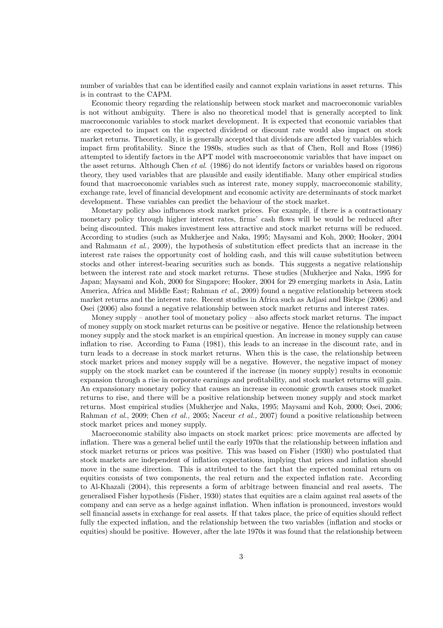number of variables that can be identified easily and cannot explain variations in asset returns. This is in contrast to the CAPM.

Economic theory regarding the relationship between stock market and macroeconomic variables is not without ambiguity. There is also no theoretical model that is generally accepted to link macroeconomic variables to stock market development. It is expected that economic variables that are expected to impact on the expected dividend or discount rate would also impact on stock market returns. Theoretically, it is generally accepted that dividends are affected by variables which impact firm profitability. Since the 1980s, studies such as that of Chen, Roll and Ross (1986) attempted to identify factors in the APT model with macroeconomic variables that have impact on the asset returns. Although Chen et al. (1986) do not identify factors or variables based on rigorous theory, they used variables that are plausible and easily identifiable. Many other empirical studies found that macroeconomic variables such as interest rate, money supply, macroeconomic stability, exchange rate, level of financial development and economic activity are determinants of stock market development. These variables can predict the behaviour of the stock market.

Monetary policy also influences stock market prices. For example, if there is a contractionary monetary policy through higher interest rates, firms' cash flows will be would be reduced after being discounted. This makes investment less attractive and stock market returns will be reduced. According to studies (such as Mukherjee and Naka, 1995; Maysami and Koh, 2000; Hooker, 2004 and Rahmann et al., 2009), the hypothesis of substitution effect predicts that an increase in the interest rate raises the opportunity cost of holding cash, and this will cause substitution between stocks and other interest-bearing securities such as bonds. This suggests a negative relationship between the interest rate and stock market returns. These studies (Mukherjee and Naka, 1995 for Japan; Maysami and Koh, 2000 for Singapore; Hooker, 2004 for 29 emerging markets in Asia, Latin America, Africa and Middle East; Rahman *et al.*, 2009) found a negative relationship between stock market returns and the interest rate. Recent studies in Africa such as Adjasi and Biekpe (2006) and Osei (2006) also found a negative relationship between stock market returns and interest rates.

Money supply – another tool of monetary policy – also affects stock market returns. The impact of money supply on stock market returns can be positive or negative. Hence the relationship between money supply and the stock market is an empirical question. An increase in money supply can cause inflation to rise. According to Fama (1981), this leads to an increase in the discount rate, and in turn leads to a decrease in stock market returns. When this is the case, the relationship between stock market prices and money supply will be a negative. However, the negative impact of money supply on the stock market can be countered if the increase (in money supply) results in economic expansion through a rise in corporate earnings and profitability, and stock market returns will gain. An expansionary monetary policy that causes an increase in economic growth causes stock market returns to rise, and there will be a positive relationship between money supply and stock market returns. Most empirical studies (Mukherjee and Naka, 1995; Maysami and Koh, 2000; Osei, 2006; Rahman et al., 2009; Chen et al., 2005; Naceur et al., 2007) found a positive relationship between stock market prices and money supply.

Macroeconomic stability also impacts on stock market prices: price movements are affected by inflation. There was a general belief until the early 1970s that the relationship between inflation and stock market returns or prices was positive. This was based on Fisher (1930) who postulated that stock markets are independent of inflation expectations, implying that prices and inflation should move in the same direction. This is attributed to the fact that the expected nominal return on equities consists of two components, the real return and the expected inflation rate. According to Al-Khazali (2004), this represents a form of arbitrage between financial and real assets. The generalised Fisher hypothesis (Fisher, 1930) states that equities are a claim against real assets of the company and can serve as a hedge against inflation. When inflation is pronounced, investors would sell financial assets in exchange for real assets. If that takes place, the price of equities should reflect fully the expected inflation, and the relationship between the two variables (inflation and stocks or equities) should be positive. However, after the late 1970s it was found that the relationship between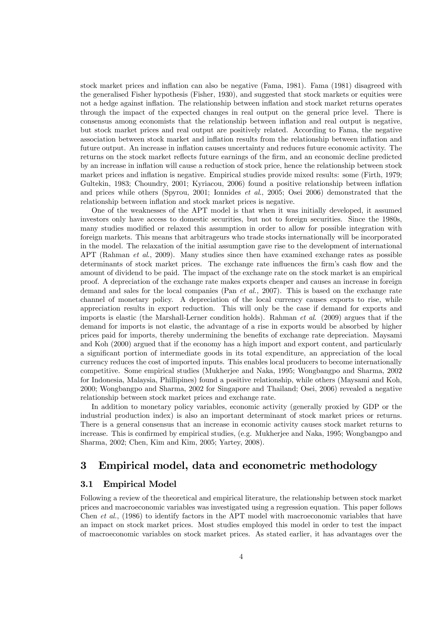stock market prices and inflation can also be negative (Fama, 1981). Fama (1981) disagreed with the generalised Fisher hypothesis (Fisher, 1930), and suggested that stock markets or equities were not a hedge against inflation. The relationship between inflation and stock market returns operates through the impact of the expected changes in real output on the general price level. There is consensus among economists that the relationship between inflation and real output is negative, but stock market prices and real output are positively related. According to Fama, the negative association between stock market and inflation results from the relationship between inflation and future output. An increase in inflation causes uncertainty and reduces future economic activity. The returns on the stock market reflects future earnings of the firm, and an economic decline predicted by an increase in inflation will cause a reduction of stock price, hence the relationship between stock market prices and inflation is negative. Empirical studies provide mixed results: some (Firth, 1979; Gultekin, 1983; Choundry, 2001; Kyriacou, 2006) found a positive relationship between inflation and prices while others (Spyrou, 2001; Ionnides et al., 2005; Osei 2006) demonstrated that the relationship between inflation and stock market prices is negative.

One of the weaknesses of the APT model is that when it was initially developed, it assumed investors only have access to domestic securities, but not to foreign securities. Since the 1980s, many studies modified or relaxed this assumption in order to allow for possible integration with foreign markets. This means that arbitrageurs who trade stocks internationally will be incorporated in the model. The relaxation of the initial assumption gave rise to the development of international APT (Rahman et al., 2009). Many studies since then have examined exchange rates as possible determinants of stock market prices. The exchange rate influences the firm's cash flow and the amount of dividend to be paid. The impact of the exchange rate on the stock market is an empirical proof. A depreciation of the exchange rate makes exports cheaper and causes an increase in foreign demand and sales for the local companies (Pan *et al.*, 2007). This is based on the exchange rate channel of monetary policy. A depreciation of the local currency causes exports to rise, while appreciation results in export reduction. This will only be the case if demand for exports and imports is elastic (the Marshall-Lerner condition holds). Rahman et al. (2009) argues that if the demand for imports is not elastic, the advantage of a rise in exports would be absorbed by higher prices paid for imports, thereby undermining the benefits of exchange rate depreciation. Maysami and Koh (2000) argued that if the economy has a high import and export content, and particularly a significant portion of intermediate goods in its total expenditure, an appreciation of the local currency reduces the cost of imported inputs. This enables local producers to become internationally competitive. Some empirical studies (Mukherjee and Naka, 1995; Wongbangpo and Sharma, 2002 for Indonesia, Malaysia, Phillipines) found a positive relationship, while others (Maysami and Koh, 2000; Wongbangpo and Sharma, 2002 for Singapore and Thailand; Osei, 2006) revealed a negative relationship between stock market prices and exchange rate.

In addition to monetary policy variables, economic activity (generally proxied by GDP or the industrial production index) is also an important determinant of stock market prices or returns. There is a general consensus that an increase in economic activity causes stock market returns to increase. This is confirmed by empirical studies, (e.g. Mukherjee and Naka, 1995; Wongbangpo and Sharma, 2002; Chen, Kim and Kim, 2005; Yartey, 2008).

## 3 Empirical model, data and econometric methodology

## 3.1 Empirical Model

Following a review of the theoretical and empirical literature, the relationship between stock market prices and macroeconomic variables was investigated using a regression equation. This paper follows Chen et al., (1986) to identify factors in the APT model with macroeconomic variables that have an impact on stock market prices. Most studies employed this model in order to test the impact of macroeconomic variables on stock market prices. As stated earlier, it has advantages over the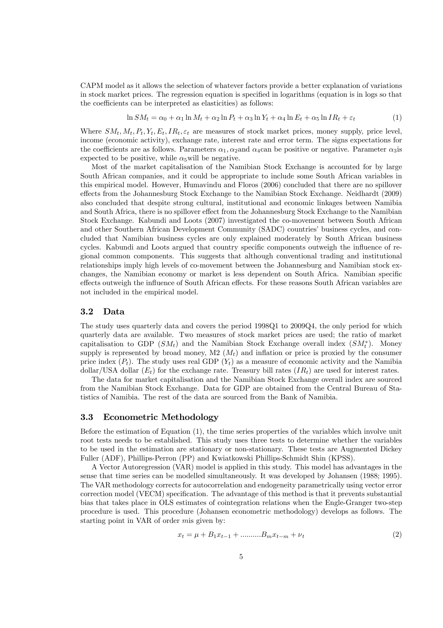CAPM model as it allows the selection of whatever factors provide a better explanation of variations in stock market prices. The regression equation is specified in logarithms (equation is in logs so that the coefficients can be interpreted as elasticities) as follows:

$$
\ln SM_t = \alpha_0 + \alpha_1 \ln M_t + \alpha_2 \ln P_t + \alpha_3 \ln Y_t + \alpha_4 \ln E_t + \alpha_5 \ln IR_t + \varepsilon_t \tag{1}
$$

Where  $SM_t, M_t, P_t, Y_t, E_t, IR_t, \varepsilon_t$  are measures of stock market prices, money supply, price level, income (economic activity), exchange rate, interest rate and error term. The signs expectations for the coefficients are as follows. Parameters  $\alpha_1, \alpha_2$  and  $\alpha_4$ can be positive or negative. Parameter  $\alpha_3$ is expected to be positive, while  $\alpha_5$  will be negative.

Most of the market capitalisation of the Namibian Stock Exchange is accounted for by large South African companies, and it could be appropriate to include some South African variables in this empirical model. However, Humavindu and Floros (2006) concluded that there are no spillover effects from the Johannesburg Stock Exchange to the Namibian Stock Exchange. Neidhardt (2009) also concluded that despite strong cultural, institutional and economic linkages between Namibia and South Africa, there is no spillover effect from the Johannesburg Stock Exchange to the Namibian Stock Exchange. Kabundi and Loots (2007) investigated the co-movement between South African and other Southern African Development Community (SADC) countries' business cycles, and concluded that Namibian business cycles are only explained moderately by South African business cycles. Kabundi and Loots argued that country specific components outweigh the influence of regional common components. This suggests that although conventional trading and institutional relationships imply high levels of co-movement between the Johannesburg and Namibian stock exchanges, the Namibian economy or market is less dependent on South Africa. Namibian specific effects outweigh the influence of South African effects. For these reasons South African variables are not included in the empirical model.

#### 3.2 Data

The study uses quarterly data and covers the period 1998Q1 to 2009Q4, the only period for which quarterly data are available. Two measures of stock market prices are used; the ratio of market capitalisation to GDP  $(SM_t)$  and the Namibian Stock Exchange overall index  $(SM_t^*)$ . Money supply is represented by broad money, M2  $(M_t)$  and inflation or price is proxied by the consumer price index  $(P_t)$ . The study uses real GDP  $(Y_t)$  as a measure of economic activity and the Namibia dollar/USA dollar  $(E_t)$  for the exchange rate. Treasury bill rates  $(IR_t)$  are used for interest rates.

The data for market capitalisation and the Namibian Stock Exchange overall index are sourced from the Namibian Stock Exchange. Data for GDP are obtained from the Central Bureau of Statistics of Namibia. The rest of the data are sourced from the Bank of Namibia.

#### 3.3 Econometric Methodology

Before the estimation of Equation (1), the time series properties of the variables which involve unit root tests needs to be established. This study uses three tests to determine whether the variables to be used in the estimation are stationary or non-stationary. These tests are Augmented Dickey Fuller (ADF), Phillips-Perron (PP) and Kwiatkowski Phillips-Schmidt Shin (KPSS).

A Vector Autoregression (VAR) model is applied in this study. This model has advantages in the sense that time series can be modelled simultaneously. It was developed by Johansen (1988; 1995). The VAR methodology corrects for autocorrelation and endogeneity parametrically using vector error correction model (VECM) specification. The advantage of this method is that it prevents substantial bias that takes place in OLS estimates of cointegration relations when the Engle-Granger two-step procedure is used. This procedure (Johansen econometric methodology) develops as follows. The starting point in VAR of order mis given by:

$$
x_t = \mu + B_1 x_{t-1} + \dots \dots \dots B_m x_{t-m} + \nu_t \tag{2}
$$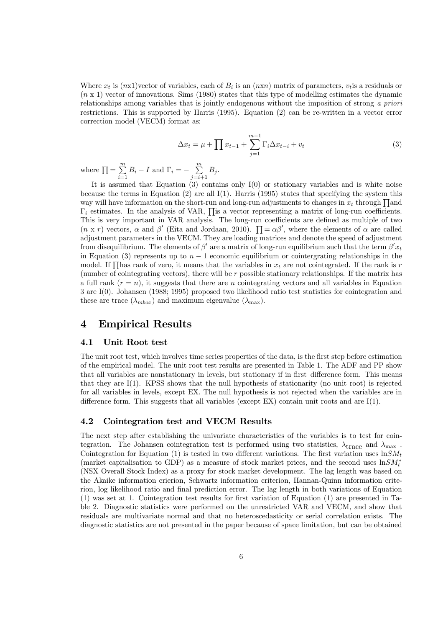Where  $x_t$  is  $(nx1)$  vector of variables, each of  $B_i$  is an  $(nxn)$  matrix of parameters,  $v_t$  is a residuals or  $(n \times 1)$  vector of innovations. Sims (1980) states that this type of modelling estimates the dynamic relationships among variables that is jointly endogenous without the imposition of strong a priori restrictions. This is supported by Harris (1995). Equation (2) can be re-written in a vector error correction model (VECM) format as:

$$
\Delta x_t = \mu + \prod x_{t-1} + \sum_{j=1}^{m-1} \Gamma_i \Delta x_{t-i} + v_t
$$
\n(3)

where  $\prod = \sum^{m}$  $\sum_{i=1}^{m} B_i - I$  and  $\Gamma_i = -\sum_{j=i+1}^{m} B_j$ .

It is assumed that Equation  $(3)$  contains only I $(0)$  or stationary variables and is white noise because the terms in Equation  $(2)$  are all I(1). Harris (1995) states that specifying the system this way will have information on the short-run and long-run adjustments to changes in  $x_t$  through  $\prod$ and  $\Gamma_i$  estimates. In the analysis of VAR,  $\prod$ is a vector representing a matrix of long-run coefficients. This is very important in VAR analysis. The long-run coefficients are defined as multiple of two  $(n \times r)$  vectors,  $\alpha$  and  $\beta'$  (Eita and Jordaan, 2010).  $\prod = \alpha \beta'$ , where the elements of  $\alpha$  are called adjustment parameters in the VECM. They are loading matrices and denote the speed of adjustment from disequilibrium. The elements of  $\beta'$  are a matrix of long-run equilibrium such that the term  $\beta' x_t$ in Equation (3) represents up to  $n-1$  economic equilibrium or cointergrating relationships in the model. If  $\prod$ has rank of zero, it means that the variables in  $x_t$  are not cointegrated. If the rank is r (number of cointegrating vectors), there will be r possible stationary relationships. If the matrix has a full rank  $(r = n)$ , it suggests that there are n cointegrating vectors and all variables in Equation 3 are I(0). Johansen (1988; 1995) proposed two likelihood ratio test statistics for cointegration and these are trace  $(\lambda_{\text{mbox}})$  and maximum eigenvalue  $(\lambda_{\text{max}})$ .

## 4 Empirical Results

### 4.1 Unit Root test

The unit root test, which involves time series properties of the data, is the first step before estimation of the empirical model. The unit root test results are presented in Table 1. The ADF and PP show that all variables are nonstationary in levels, but stationary if in first—difference form. This means that they are I(1). KPSS shows that the null hypothesis of stationarity (no unit root) is rejected for all variables in levels, except EX. The null hypothesis is not rejected when the variables are in difference form. This suggests that all variables (except  $EX$ ) contain unit roots and are  $I(1)$ .

#### 4.2 Cointegration test and VECM Results

The next step after establishing the univariate characteristics of the variables is to test for cointegration. The Johansen cointegration test is performed using two statistics,  $\lambda_{\text{trace}}$  and  $\lambda_{\text{max}}$ . Cointegration for Equation (1) is tested in two different variations. The first variation uses  $\ln SM_t$ (market capitalisation to GDP) as a measure of stock market prices, and the second uses  $\ln SM_t^*$ (NSX Overall Stock Index) as a proxy for stock market development. The lag length was based on the Akaike information crierion, Schwartz information criterion, Hannan-Quinn information criterion, log likelihood ratio and final prediction error. The lag length in both variations of Equation (1) was set at 1. Cointegration test results for first variation of Equation (1) are presented in Table 2. Diagnostic statistics were performed on the unrestricted VAR and VECM, and show that residuals are multivariate normal and that no heteroscedasticity or serial correlation exists. The diagnostic statistics are not presented in the paper because of space limitation, but can be obtained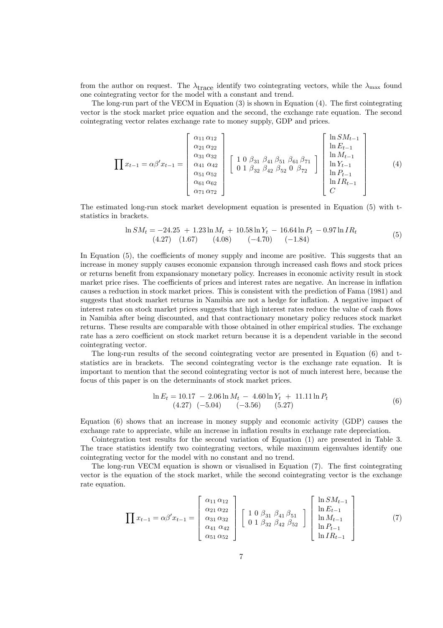from the author on request. The  $\lambda_{\text{trace}}$  identify two cointegrating vectors, while the  $\lambda_{\text{max}}$  found one cointegrating vector for the model with a constant and trend.

The long-run part of the VECM in Equation (3) is shown in Equation (4). The first cointegrating vector is the stock market price equation and the second, the exchange rate equation. The second cointegrating vector relates exchange rate to money supply, GDP and prices.

$$
\prod x_{t-1} = \alpha \beta' x_{t-1} = \begin{bmatrix} \alpha_{11} \alpha_{12} \\ \alpha_{21} \alpha_{22} \\ \alpha_{31} \alpha_{32} \\ \alpha_{41} \alpha_{42} \\ \alpha_{51} \alpha_{52} \\ \alpha_{61} \alpha_{62} \\ \alpha_{71} \alpha_{72} \end{bmatrix} \begin{bmatrix} 1 & 0 & \beta_{31} & \beta_{41} & \beta_{51} & \beta_{61} & \beta_{71} \\ 0 & 1 & \beta_{32} & \beta_{42} & \beta_{52} & 0 & \beta_{72} \\ 0 & 1 & \beta_{32} & \beta_{42} & \beta_{52} & 0 & \beta_{72} \\ 0 & 0 & 0 & \beta_{72} & 0 & \beta_{72} \\ 0 & 0 & 0 & 0 & 0 & \beta_{72} \\ 0 & 0 & 0 & 0 & 0 & 0 \\ 0 & 0 & 0 & 0 & 0 & 0 \\ 0 & 0 & 0 & 0 & 0 & 0 \\ 0 & 0 & 0 & 0 & 0 & 0 \\ 0 & 0 & 0 & 0 & 0 & 0 \\ 0 & 0 & 0 & 0 & 0 & 0 \\ 0 & 0 & 0 & 0 & 0 & 0 \\ 0 & 0 & 0 & 0 & 0 & 0 \\ 0 & 0 & 0 & 0 & 0 & 0 \\ 0 & 0 & 0 & 0 & 0 & 0 & 0 \\ 0 & 0 & 0 & 0 & 0 & 0 & 0 \\ 0 & 0 & 0 & 0 & 0 & 0 & 0 \\ 0 & 0 & 0 & 0 & 0 & 0 & 0 \\ 0 & 0 & 0 & 0 & 0 & 0 & 0 \\ 0 & 0 & 0 & 0 & 0 & 0 & 0 \\ 0 & 0 & 0 & 0 & 0 & 0 & 0 & 0 \\ 0 & 0 & 0 & 0 & 0 & 0 & 0 & 0 \\ 0 & 0 & 0 & 0 & 0 & 0 & 0 & 0 \\ 0 & 0 & 0 & 0 & 0 & 0 & 0 & 0 \\ 0 & 0 & 0 & 0 & 0 & 0 & 0 & 0 \\ 0 & 0 & 0 & 0 & 0 & 0 & 0 & 0 \\ 0 & 0 & 0 & 0 & 0 & 0 & 0 & 0 \\ 0 & 0 & 0 & 0 &
$$

The estimated long-run stock market development equation is presented in Equation (5) with tstatistics in brackets.

$$
\ln SM_t = -24.25 + 1.23 \ln M_t + 10.58 \ln Y_t - 16.64 \ln P_t - 0.97 \ln IR_t
$$
  
(4.27) (1.67) (4.08) (-4.70) (-1.84) (5)

In Equation  $(5)$ , the coefficients of money supply and income are positive. This suggests that an increase in money supply causes economic expansion through increased cash flows and stock prices or returns benefit from expansionary monetary policy. Increases in economic activity result in stock market price rises. The coefficients of prices and interest rates are negative. An increase in inflation causes a reduction in stock market prices. This is consistent with the prediction of Fama (1981) and suggests that stock market returns in Namibia are not a hedge for inflation. A negative impact of interest rates on stock market prices suggests that high interest rates reduce the value of cash flows in Namibia after being discounted, and that contractionary monetary policy reduces stock market returns. These results are comparable with those obtained in other empirical studies. The exchange rate has a zero coefficient on stock market return because it is a dependent variable in the second cointegrating vector.

The long-run results of the second cointegrating vector are presented in Equation (6) and tstatistics are in brackets. The second cointegrating vector is the exchange rate equation. It is important to mention that the second cointegrating vector is not of much interest here, because the focus of this paper is on the determinants of stock market prices.

$$
\ln E_t = 10.17 - 2.06 \ln M_t - 4.60 \ln Y_t + 11.11 \ln P_t
$$
  
(4.27) (-5.04) (-3.56) (5.27) (6)

Equation (6) shows that an increase in money supply and economic activity (GDP) causes the exchange rate to appreciate, while an increase in inflation results in exchange rate depreciation.

Cointegration test results for the second variation of Equation (1) are presented in Table 3. The trace statistics identify two cointegrating vectors, while maximum eigenvalues identify one cointegrating vector for the model with no constant and no trend.

The long-run VECM equation is shown or visualised in Equation (7). The first cointegrating vector is the equation of the stock market, while the second cointegrating vector is the exchange rate equation.

$$
\prod x_{t-1} = \alpha \beta' x_{t-1} = \begin{bmatrix} \alpha_{11} \alpha_{12} \\ \alpha_{21} \alpha_{22} \\ \alpha_{31} \alpha_{32} \\ \alpha_{41} \alpha_{42} \\ \alpha_{51} \alpha_{52} \end{bmatrix} \begin{bmatrix} 1 & 0 & \beta_{31} & \beta_{41} & \beta_{51} \\ 0 & 1 & \beta_{32} & \beta_{42} & \beta_{52} \end{bmatrix} \begin{bmatrix} \ln SM_{t-1} \\ \ln E_{t-1} \\ \ln M_{t-1} \\ \ln P_{t-1} \\ \ln IR_{t-1} \end{bmatrix}
$$
(7)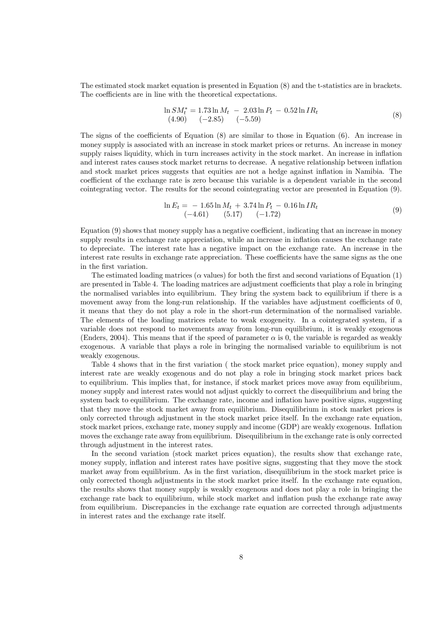The estimated stock market equation is presented in Equation (8) and the t-statistics are in brackets. The coefficients are in line with the theoretical expectations.

$$
\ln SM_t^* = 1.73 \ln M_t - 2.03 \ln P_t - 0.52 \ln IR_t
$$
  
(4.90) (-2.85) (-5.59) (9.8)

The signs of the coefficients of Equation (8) are similar to those in Equation (6). An increase in money supply is associated with an increase in stock market prices or returns. An increase in money supply raises liquidity, which in turn increases activity in the stock market. An increase in inflation and interest rates causes stock market returns to decrease. A negative relationship between inflation and stock market prices suggests that equities are not a hedge against inflation in Namibia. The coefficient of the exchange rate is zero because this variable is a dependent variable in the second cointegrating vector. The results for the second cointegrating vector are presented in Equation (9).

$$
\ln E_t = -1.65 \ln M_t + 3.74 \ln P_t - 0.16 \ln IR_t
$$
  
\n
$$
(-4.61) \qquad (5.17) \qquad (-1.72)
$$
 (9)

Equation (9) shows that money supply has a negative coefficient, indicating that an increase in money supply results in exchange rate appreciation, while an increase in inflation causes the exchange rate to depreciate. The interest rate has a negative impact on the exchange rate. An increase in the interest rate results in exchange rate appreciation. These coefficients have the same signs as the one in the first variation.

The estimated loading matrices ( $\alpha$  values) for both the first and second variations of Equation (1) are presented in Table 4. The loading matrices are adjustment coefficients that play a role in bringing the normalised variables into equilibrium. They bring the system back to equilibrium if there is a movement away from the long-run relationship. If the variables have adjustment coefficients of 0, it means that they do not play a role in the short-run determination of the normalised variable. The elements of the loading matrices relate to weak exogeneity. In a cointegrated system, if a variable does not respond to movements away from long-run equilibrium, it is weakly exogenous (Enders, 2004). This means that if the speed of parameter  $\alpha$  is 0, the variable is regarded as weakly exogenous. A variable that plays a role in bringing the normalised variable to equilibrium is not weakly exogenous.

Table 4 shows that in the first variation ( the stock market price equation), money supply and interest rate are weakly exogenous and do not play a role in bringing stock market prices back to equilibrium. This implies that, for instance, if stock market prices move away from equilibrium, money supply and interest rates would not adjust quickly to correct the disequilibrium and bring the system back to equilibrium. The exchange rate, income and inflation have positive signs, suggesting that they move the stock market away from equilibrium. Disequilibrium in stock market prices is only corrected through adjustment in the stock market price itself. In the exchange rate equation, stock market prices, exchange rate, money supply and income (GDP) are weakly exogenous. Inflation moves the exchange rate away from equilibrium. Disequilibrium in the exchange rate is only corrected through adjustment in the interest rates.

In the second variation (stock market prices equation), the results show that exchange rate, money supply, inflation and interest rates have positive signs, suggesting that they move the stock market away from equilibrium. As in the first variation, disequilibrium in the stock market price is only corrected though adjustments in the stock market price itself. In the exchange rate equation, the results shows that money supply is weakly exogenous and does not play a role in bringing the exchange rate back to equilibrium, while stock market and inflation push the exchange rate away from equilibrium. Discrepancies in the exchange rate equation are corrected through adjustments in interest rates and the exchange rate itself.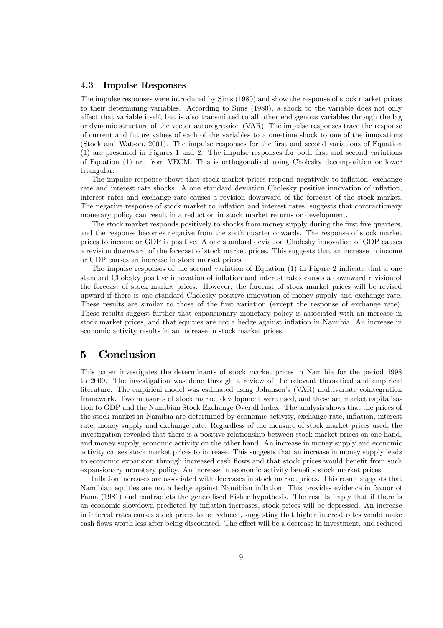#### 4.3 Impulse Responses

The impulse responses were introduced by Sims (1980) and show the response of stock market prices to their determining variables. According to Sims (1980), a shock to the variable does not only affect that variable itself, but is also transmitted to all other endogenous variables through the lag or dynamic structure of the vector autoregression (VAR). The impulse responses trace the response of current and future values of each of the variables to a one-time shock to one of the innovations (Stock and Watson, 2001). The impulse responses for the first and second variations of Equation (1) are presented in Figures 1 and 2. The impulse responses for both first and second variations of Equation (1) are from VECM. This is orthogonalised using Cholesky decomposition or lower triangular.

The impulse response shows that stock market prices respond negatively to inflation, exchange rate and interest rate shocks. A one standard deviation Cholesky positive innovation of inflation, interest rates and exchange rate causes a revision downward of the forecast of the stock market. The negative response of stock market to inflation and interest rates, suggests that contractionary monetary policy can result in a reduction in stock market returns or development.

The stock market responds positively to shocks from money supply during the first five quarters, and the response becomes negative from the sixth quarter onwards. The response of stock market prices to income or GDP is positive. A one standard deviation Cholesky innovation of GDP causes a revision downward of the forecast of stock market prices. This suggests that an increase in income or GDP causes an increase in stock market prices.

The impulse responses of the second variation of Equation (1) in Figure 2 indicate that a one standard Cholesky positive innovation of inflation and interest rates causes a downward revision of the forecast of stock market prices. However, the forecast of stock market prices will be revised upward if there is one standard Cholesky positive innovation of money supply and exchange rate. These results are similar to those of the first variation (except the response of exchange rate). These results suggest further that expansionary monetary policy is associated with an increase in stock market prices, and that equities are not a hedge against inflation in Namibia. An increase in economic activity results in an increase in stock market prices.

## 5 Conclusion

This paper investigates the determinants of stock market prices in Namibia for the period 1998 to 2009. The investigation was done through a review of the relevant theoretical and empirical literature. The empirical model was estimated using Johansen's (VAR) multivariate cointegration framework. Two measures of stock market development were used, and these are market capitalisation to GDP and the Namibian Stock Exchange Overall Index. The analysis shows that the prices of the stock market in Namibia are determined by economic activity, exchange rate, inflation, interest rate, money supply and exchange rate. Regardless of the measure of stock market prices used, the investigation revealed that there is a positive relationship between stock market prices on one hand, and money supply, economic activity on the other hand. An increase in money supply and economic activity causes stock market prices to increase. This suggests that an increase in money supply leads to economic expansion through increased cash flows and that stock prices would benefit from such expansionary monetary policy. An increase in economic activity benefits stock market prices.

Inflation increases are associated with decreases in stock market prices. This result suggests that Namibian equities are not a hedge against Namibian inflation. This provides evidence in favour of Fama (1981) and contradicts the generalised Fisher hypothesis. The results imply that if there is an economic slowdown predicted by inflation increases, stock prices will be depressed. An increase in interest rates causes stock prices to be reduced, suggesting that higher interest rates would make cash flows worth less after being discounted. The effect will be a decrease in investment, and reduced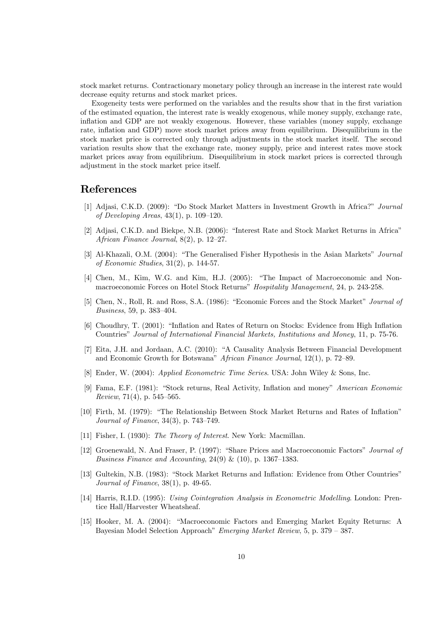stock market returns. Contractionary monetary policy through an increase in the interest rate would decrease equity returns and stock market prices.

Exogeneity tests were performed on the variables and the results show that in the first variation of the estimated equation, the interest rate is weakly exogenous, while money supply, exchange rate, inflation and GDP are not weakly exogenous. However, these variables (money supply, exchange rate, inflation and GDP) move stock market prices away from equilibrium. Disequilibrium in the stock market price is corrected only through adjustments in the stock market itself. The second variation results show that the exchange rate, money supply, price and interest rates move stock market prices away from equilibrium. Disequilibrium in stock market prices is corrected through adjustment in the stock market price itself.

## References

- [1] Adjasi, C.K.D. (2009): "Do Stock Market Matters in Investment Growth in Africa?" Journal of Developing Areas, 43(1), p. 109—120.
- [2] Adjasi, C.K.D. and Biekpe, N.B. (2006): "Interest Rate and Stock Market Returns in Africa" African Finance Journal, 8(2), p. 12—27.
- [3] Al-Khazali, O.M. (2004): "The Generalised Fisher Hypothesis in the Asian Markets" Journal of Economic Studies, 31(2), p. 144-57.
- [4] Chen, M., Kim, W.G. and Kim, H.J. (2005): "The Impact of Macroeconomic and Nonmacroeconomic Forces on Hotel Stock Returns" Hospitality Management, 24, p. 243-258.
- [5] Chen, N., Roll, R. and Ross, S.A. (1986): "Economic Forces and the Stock Market" Journal of Business, 59, p. 383—404.
- [6] Choudhry, T. (2001): "Inflation and Rates of Return on Stocks: Evidence from High Inflation Countries" Journal of International Financial Markets, Institutions and Money, 11, p. 75-76.
- [7] Eita, J.H. and Jordaan, A.C. (2010): "A Causality Analysis Between Financial Development and Economic Growth for Botswana" African Finance Journal, 12(1), p. 72—89.
- [8] Ender, W. (2004): Applied Econometric Time Series. USA: John Wiley & Sons, Inc.
- [9] Fama, E.F. (1981): "Stock returns, Real Activity, Inflation and money" American Economic Review, 71(4), p.  $545-565$ .
- [10] Firth, M. (1979): "The Relationship Between Stock Market Returns and Rates of Inflation" Journal of Finance, 34(3), p. 743—749.
- [11] Fisher, I. (1930): The Theory of Interest. New York: Macmillan.
- [12] Groenewald, N. And Fraser, P. (1997): "Share Prices and Macroeconomic Factors" Journal of Business Finance and Accounting,  $24(9)$  &  $(10)$ , p. 1367-1383.
- [13] Gultekin, N.B. (1983): "Stock Market Returns and Inflation: Evidence from Other Countries" Journal of Finance, 38(1), p. 49-65.
- [14] Harris, R.I.D. (1995): Using Cointegration Analysis in Econometric Modelling. London: Prentice Hall/Harvester Wheatsheaf.
- [15] Hooker, M. A. (2004): "Macroeconomic Factors and Emerging Market Equity Returns: A Bayesian Model Selection Approach" Emerging Market Review, 5, p. 379 — 387.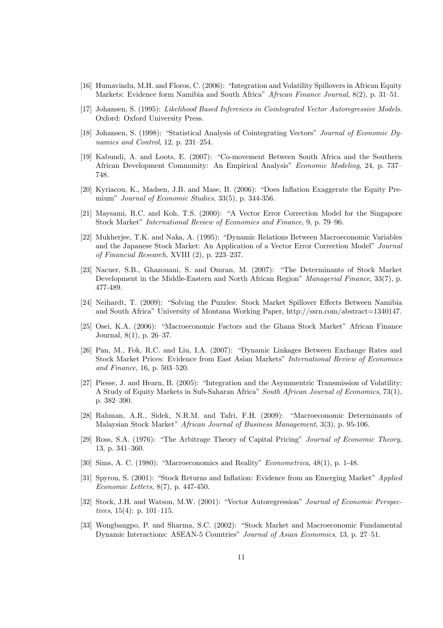- [16] Humavindu, M.H. and Floros, C. (2006): "Integration and Volatility Spillovers in African Equity Markets: Evidence form Namibia and South Africa" African Finance Journal,  $8(2)$ , p. 31–51.
- [17] Johansen, S. (1995): Likelihood Based Inferences in Cointegrated Vector Autoregressive Models. Oxford: Oxford University Press.
- [18] Johansen, S. (1998): "Statistical Analysis of Cointegrating Vectors" Journal of Economic Dynamics and Control, 12, p. 231—254.
- [19] Kabundi, A. and Loots, E. (2007): "Co-movement Between South Africa and the Southern African Development Community: An Empirical Analysis" Economic Modeling, 24, p. 737— 748.
- [20] Kyriacou, K., Madsen, J.B. and Mase, B. (2006): "Does Inflation Exaggerate the Equity Premium" Journal of Economic Studies, 33(5), p. 344-356.
- [21] Maysami, R.C. and Koh, T.S. (2000): "A Vector Error Correction Model for the Singapore Stock Market" International Review of Economics and Finance, 9, p. 79—96.
- [22] Mukherjee, T.K. and Naka, A. (1995): "Dynamic Relations Between Macroeconomic Variables and the Japanese Stock Market: An Application of a Vector Error Correction Model" Journal of Financial Research, XVIII (2), p. 223—237.
- [23] Nacuer, S.B., Ghazouani, S. and Omran, M. (2007): "The Determinants of Stock Market Development in the Middle-Eastern and North African Region" Managerial Finance, 33(7), p. 477-489.
- [24] Neihardt, T. (2009): "Solving the Puzzles: Stock Market Spillover Effects Between Namibia and South Africa" University of Montana Working Paper, http://ssrn.com/abstract=1340147.
- [25] Osei, K.A. (2006): "Macroeconomic Factors and the Ghana Stock Market" African Finance Journal, 8(1), p. 26—37.
- [26] Pan, M., Fok, R.C. and Liu, I.A. (2007): "Dynamic Linkages Between Exchange Rates and Stock Market Prices: Evidence from East Asian Markets" International Review of Economics and Finance, 16, p. 503—520.
- [27] Piesse, J. and Hearn, B. (2005): "Integration and the Asymmentric Transmission of Volatility: A Study of Equity Markets in Sub-Saharan Africa" South African Journal of Economics, 73(1), p. 382—390.
- [28] Rahman, A.R., Sidek, N.R.M. and Tafri, F.H. (2009): "Macroeconomic Determinants of Malaysian Stock Market" African Journal of Business Management, 3(3), p. 95-106.
- [29] Ross, S.A. (1976): "The Arbitrage Theory of Capital Pricing" Journal of Economic Theory, 13, p. 341—360.
- [30] Sims, A. C. (1980): "Macroeconomics and Reality" Econometrica, 48(1), p. 1-48.
- [31] Spyrou, S. (2001): "Stock Returns and Inflation: Evidence from an Emerging Market" Applied Economic Letters, 8(7), p. 447-450.
- [32] Stock, J.H. and Watson, M.W. (2001): "Vector Autoregression" Journal of Economic Perspectives,  $15(4)$ : p.  $101-115$ .
- [33] Wongbangpo, P. and Sharma, S.C. (2002): "Stock Market and Macroeconomic Fundamental Dynamic Interactions: ASEAN-5 Countries" Journal of Asian Economics, 13, p. 27—51.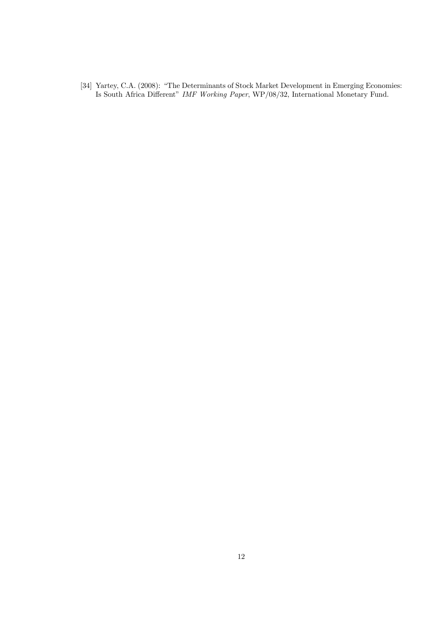[34] Yartey, C.A. (2008): "The Determinants of Stock Market Development in Emerging Economies: Is South Africa Different" IMF Working Paper, WP/08/32, International Monetary Fund.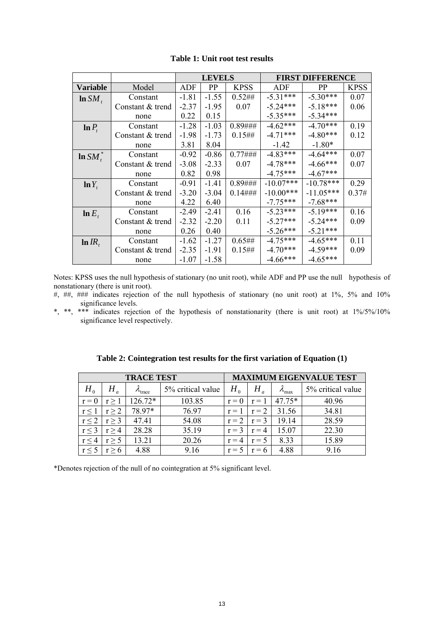|                 |                  | <b>LEVELS</b> |           |             | <b>FIRST DIFFERENCE</b> |             |             |
|-----------------|------------------|---------------|-----------|-------------|-------------------------|-------------|-------------|
| <b>Variable</b> | Model            | ADF           | <b>PP</b> | <b>KPSS</b> | ADF                     | <b>PP</b>   | <b>KPSS</b> |
| $\ln SM$ ,      | Constant         | $-1.81$       | $-1.55$   | 0.52##      | $-5.31***$              | $-5.30***$  | 0.07        |
|                 | Constant & trend | $-2.37$       | $-1.95$   | 0.07        | $-5.24***$              | $-5.18***$  | 0.06        |
|                 | none             | 0.22          | 0.15      |             | $-5.35***$              | $-5.34***$  |             |
| $\ln P_t$       | Constant         | $-1.28$       | $-1.03$   | $0.89$ ###  | $-4.62***$              | $-4.70***$  | 0.19        |
|                 | Constant & trend | $-1.98$       | $-1.73$   | 0.15#       | $-4.71***$              | $-4.80***$  | 0.12        |
|                 | none             | 3.81          | 8.04      |             | $-1.42$                 | $-1.80*$    |             |
| $\ln SM_t^*$    | Constant         | $-0.92$       | $-0.86$   | $0.77#$ ### | $-4.83***$              | $-4.64***$  | 0.07        |
|                 | Constant & trend | $-3.08$       | $-2.33$   | 0.07        | $-4.78***$              | $-4.66***$  | 0.07        |
|                 | none             | 0.82          | 0.98      |             | $-4.75***$              | $-4.67***$  |             |
| $\ln Y_t$       | Constant         | $-0.91$       | $-1.41$   | $0.89$ ###  | $-10.07***$             | $-10.78***$ | 0.29        |
|                 | Constant & trend | $-3.20$       | $-3.04$   | $0.14\#$ ## | $-10.00***$             | $-11.05***$ | 0.37#       |
|                 | none             | 4.22          | 6.40      |             | $-7.75***$              | $-7.68***$  |             |
| $\ln E_t$       | Constant         | $-2.49$       | $-2.41$   | 0.16        | $-5.23***$              | $-5.19***$  | 0.16        |
|                 | Constant & trend | $-2.32$       | $-2.20$   | 0.11        | $-5.27***$              | $-5.24***$  | 0.09        |
|                 | none             | 0.26          | 0.40      |             | $-5.26***$              | $-5.21***$  |             |
| $\ln IR_t$      | Constant         | $-1.62$       | $-1.27$   | 0.65##      | $-4.75***$              | $-4.65***$  | 0.11        |
|                 | Constant & trend | $-2.35$       | $-1.91$   | $0.15#$ #   | $-4.70***$              | $-4.59***$  | 0.09        |
|                 | none             | $-1.07$       | $-1.58$   |             | $-4.66***$              | $-4.65***$  |             |

## **Table 1: Unit root test results**

Notes: KPSS uses the null hypothesis of stationary (no unit root), while ADF and PP use the null hypothesis of nonstationary (there is unit root).

- #, ##, ### indicates rejection of the null hypothesis of stationary (no unit root) at 1%, 5% and 10% significance levels.
- \*, \*\*, \*\*\* indicates rejection of the hypothesis of nonstationarity (there is unit root) at 1%/5%/10% significance level respectively.

| <b>TRACE TEST</b> |            |                            |                   | <b>MAXIMUM EIGENVALUE TEST</b> |         |                        |                   |
|-------------------|------------|----------------------------|-------------------|--------------------------------|---------|------------------------|-------------------|
| $H_{0}$           |            | $\lambda$ <sub>trace</sub> | 5% critical value | $H_{\scriptscriptstyle{0}}$    | Η       | $\lambda_{\text{max}}$ | 5% critical value |
| $r = 0$           | r > 1      | $126.72*$                  | 103.85            | $r = 0$                        | $r = 1$ | $47.75*$               | 40.96             |
| $r \leq 1$        | $r \geq 2$ | 78.97*                     | 76.97             | $r = 1$                        | $r = 2$ | 31.56                  | 34.81             |
| $r \leq 2$        | $r \geq 3$ | 47.41                      | 54.08             | $r = 2$                        | $r = 3$ | 19.14                  | 28.59             |
| $r \leq 3$        | r > 4      | 28.28                      | 35.19             | $r = 3$                        | $r = 4$ | 15.07                  | 22.30             |
| $r \leq 4$        | r > 5      | 13.21                      | 20.26             | $r = 4$                        | $r = 5$ | 8.33                   | 15.89             |
| $r \leq 5$        | $r \geq 6$ | 4.88                       | 9.16              | $r =$                          | $= 6$   | 4.88                   | 9.16              |

| Table 2: Cointegration test results for the first variation of Equation (1) |
|-----------------------------------------------------------------------------|
|-----------------------------------------------------------------------------|

\*Denotes rejection of the null of no cointegration at 5% significant level.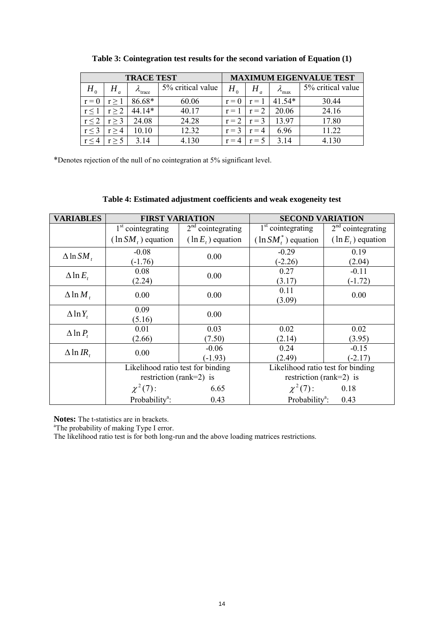| <b>TRACE TEST</b> |            |                              |                   | <b>MAXIMUM EIGENVALUE TEST</b> |         |                        |                   |
|-------------------|------------|------------------------------|-------------------|--------------------------------|---------|------------------------|-------------------|
| $H_{0}$           |            | $\mathcal{L}_{\text{trace}}$ | 5% critical value | $H_{_0}$                       |         | $\lambda_{\text{max}}$ | 5% critical value |
| $r = 0$           | r > 1      | 86.68*                       | 60.06             | $r = 0$                        | $r = 1$ | $41.54*$               | 30.44             |
| r <               | $r \geq 2$ | $44.14*$                     | 40.17             | $r = 1$                        | $r = 2$ | 20.06                  | 24.16             |
| r < 2             | $r \geq 3$ | 24.08                        | 24.28             | $r = 2$                        | $r = 3$ | 13.97                  | 17.80             |
| $r \leq 3$        | r > 4      | 10.10                        | 12.32             | $r = 3$                        | $=4$    | 6.96                   | 11.22             |
|                   |            | 3.14                         | 4.130             |                                | $=$ 5   | 3.14                   | 4.130             |

**Table 3: Cointegration test results for the second variation of Equation (1)** 

\*Denotes rejection of the null of no cointegration at 5% significant level.

## **Table 4: Estimated adjustment coefficients and weak exogeneity test**

| <b>VARIABLES</b>    | <b>FIRST VARIATION</b>            |                      | <b>SECOND VARIATION</b>           |                      |  |
|---------------------|-----------------------------------|----------------------|-----------------------------------|----------------------|--|
|                     | $1st$ cointegrating               | $2nd$ cointegrating  | $1st$ cointegrating               | $2nd$ cointegrating  |  |
|                     | $(\ln SM, )$ equation             | $(\ln E_t)$ equation | $(\ln SM_t^*)$ equation           | $(\ln E_t)$ equation |  |
| $\Delta \ln SM_t$   | $-0.08$                           | 0.00                 | $-0.29$                           | 0.19                 |  |
|                     | $(-1.76)$                         |                      | $(-2.26)$                         | (2.04)               |  |
| $\Delta \ln E_{t}$  | 0.08                              | 0.00                 | 0.27                              | $-0.11$              |  |
|                     | (2.24)                            |                      | (3.17)                            | $(-1.72)$            |  |
| $\Delta$ ln $M_{t}$ | 0.00                              | 0.00                 | 0.11                              | 0.00                 |  |
|                     |                                   |                      | (3.09)                            |                      |  |
| $\Delta$ ln $Y_t$   | 0.09                              | 0.00                 |                                   |                      |  |
|                     | (5.16)                            |                      |                                   |                      |  |
| $\Delta \ln P_t$    | 0.01                              | 0.03                 | 0.02                              | 0.02                 |  |
|                     | (2.66)                            | (7.50)               | (2.14)                            | (3.95)               |  |
| $\Delta$ ln IR,     | 0.00                              | $-0.06$              | 0.24                              | $-0.15$              |  |
|                     |                                   | $-1.93$              | (2.49)                            | $(-2.17)$            |  |
|                     | Likelihood ratio test for binding |                      | Likelihood ratio test for binding |                      |  |
|                     | restriction (rank=2) is           |                      | restriction (rank=2) is           |                      |  |
|                     | $\chi^{2}(7)$ :                   | 6.65                 | $\chi^2(7)$ :                     | 0.18                 |  |
|                     | Probability <sup>a</sup> :        | 0.43                 | Probability <sup>a</sup> :        | 0.43                 |  |

**Notes:** The t-statistics are in brackets.

<sup>a</sup>The probability of making Type I error.

The likelihood ratio test is for both long-run and the above loading matrices restrictions.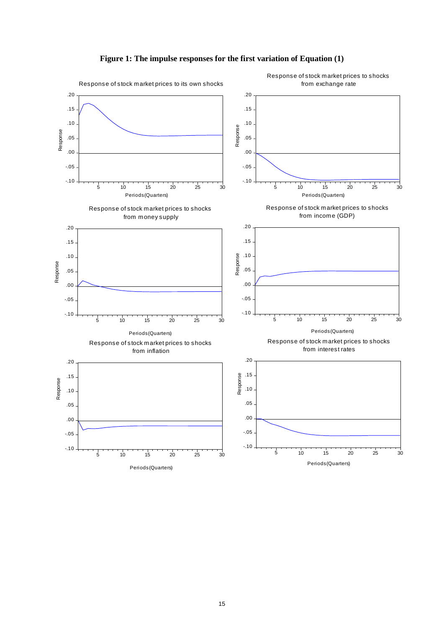



15